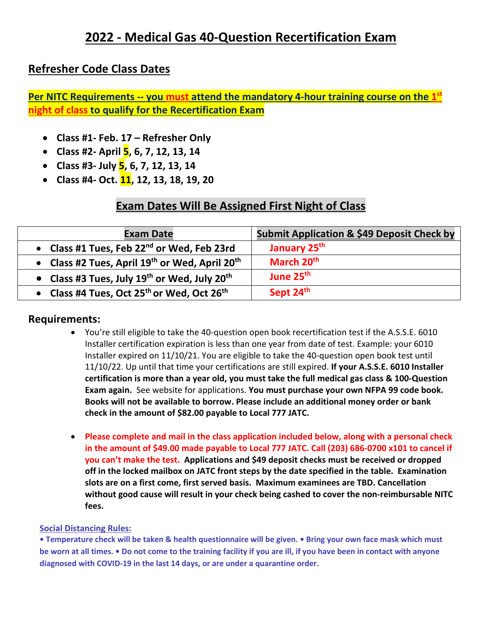### **Refresher Code Class Dates**

### **Per NITC Requirements -- you must attend the mandatory 4-hour training course on the 1st night of class to qualify for the Recertification Exam**

- **Class #1- Feb. 17 Refresher Only**
- **Class #2- April 5, 6, 7, 12, 13, 14**
- **Class #3- July 5, 6, 7, 12, 13, 14**
- **Class #4- Oct. 11, 12, 13, 18, 19, 20**

### **Exam Dates Will Be Assigned First Night of Class**

| <b>Exam Date</b>                                                       | <b>Submit Application &amp; \$49 Deposit Check by</b> |
|------------------------------------------------------------------------|-------------------------------------------------------|
| • Class #1 Tues, Feb 22 <sup>nd</sup> or Wed, Feb 23rd                 | January 25 <sup>th</sup>                              |
| • Class #2 Tues, April 19 <sup>th</sup> or Wed, April 20 <sup>th</sup> | March 20 <sup>th</sup>                                |
| • Class #3 Tues, July $19^{th}$ or Wed, July $20^{th}$                 | June 25 <sup>th</sup>                                 |
| • Class #4 Tues, Oct 25 <sup>th</sup> or Wed, Oct 26 <sup>th</sup>     | Sept 24 <sup>th</sup>                                 |

### **Requirements:**

- You're still eligible to take the 40-question open book recertification test if the A.S.S.E. 6010 Installer certification expiration is less than one year from date of test. Example: your 6010 Installer expired on 11/10/21. You are eligible to take the 40-question open book test until 11/10/22. Up until that time your certifications are still expired. **If your A.S.S.E. 6010 Installer certification is more than a year old, you must take the full medical gas class & 100-Question Exam again.** See website for applications. **You must purchase your own NFPA 99 code book. Books will not be available to borrow. Please include an additional money order or bank check in the amount of \$82.00 payable to Local 777 JATC.**
- **Please complete and mail in the class application included below, along with a personal check in the amount of \$49.00 made payable to Local 777 JATC. Call (203) 686-0700 x101 to cancel if you can't make the test. Applications and \$49 deposit checks must be received or dropped off in the locked mailbox on JATC front steps by the date specified in the table. Examination slots are on a first come, first served basis. Maximum examinees are TBD. Cancellation without good cause will result in your check being cashed to cover the non-reimbursable NITC fees.**

#### **Social Distancing Rules:**

**• Temperature check will be taken & health questionnaire will be given. • Bring your own face mask which must be worn at all times. • Do not come to the training facility if you are ill, if you have been in contact with anyone diagnosed with COVID-19 in the last 14 days, or are under a quarantine order.**